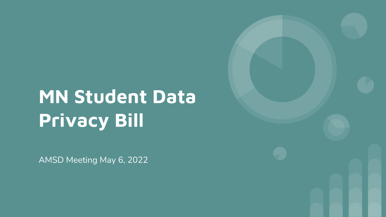# MN Student Data Privacy Bill

AMSD Meeting May 6, 2022

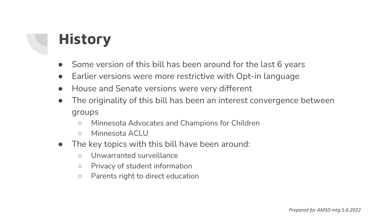## **History**

- Some version of this bill has been around for the last 6 years
- Earlier versions were more restrictive with Opt-in language
- House and Senate versions were very different
- The originality of this bill has been an interest convergence between groups
	- Minnesota Advocates and Champions for Children
	- Minnesota ACLU
- The key topics with this bill have been around:
	- Unwarranted surveillance
	- Privacy of student information
	- Parents right to direct education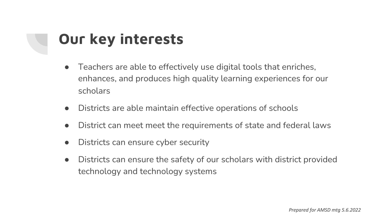## Our key interests

- Teachers are able to effectively use digital tools that enriches, enhances, and produces high quality learning experiences for our scholars
- Districts are able maintain effective operations of schools
- District can meet meet the requirements of state and federal laws
- Districts can ensure cyber security
- Districts can ensure the safety of our scholars with district provided technology and technology systems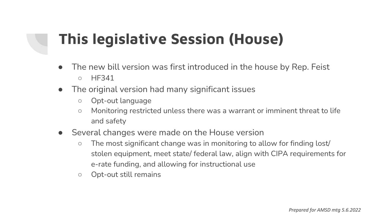## This legislative Session (House)

- The new bill version was first introduced in the house by Rep. Feist ○ HF341
- The original version had many significant issues
	- Opt-out language
	- Monitoring restricted unless there was a warrant or imminent threat to life and safety
- Several changes were made on the House version
	- The most significant change was in monitoring to allow for finding lost/ stolen equipment, meet state/ federal law, align with CIPA requirements for e-rate funding, and allowing for instructional use
	- Opt-out still remains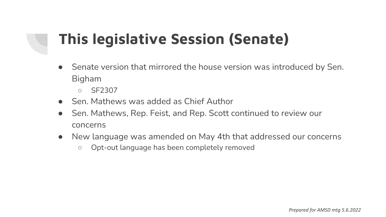## This legislative Session (Senate)

- Senate version that mirrored the house version was introduced by Sen. Bigham
	- SF2307
- Sen. Mathews was added as Chief Author
- Sen. Mathews, Rep. Feist, and Rep. Scott continued to review our concerns
- New language was amended on May 4th that addressed our concerns
	- Opt-out language has been completely removed